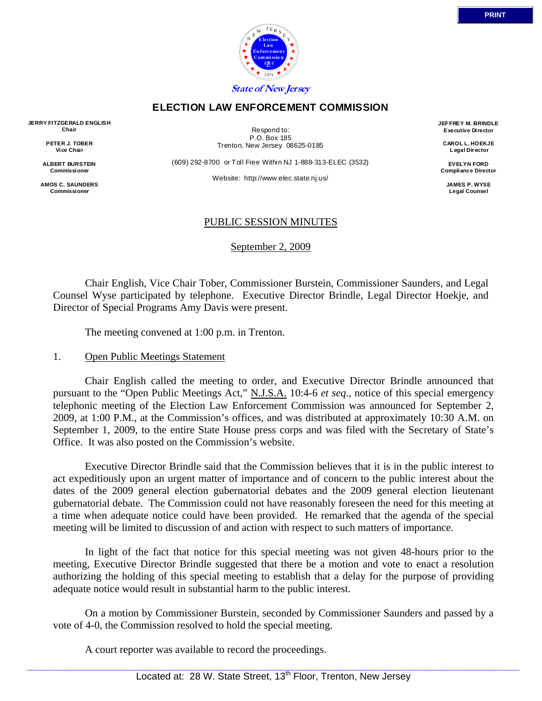

#### **ELECTION LAW ENFORCEMENT COMMISSION**

**JERRY FITZGERALD ENGLISH Chair** 

> **PETER J. TOBER Vice Chair**

**ALBERT BURSTEIN Commissioner** 

**AMOS C. SAUNDERS Commissioner** 

Respond to: P.O. Box 185 Trenton, New Jersey 08625-0185

(609) 292-8700 or Toll Free Within NJ 1-888-313-ELEC (3532)

Website: http://www.elec.state.nj.us/

**JEF FREY M. BRINDLE Executive Director** 

> **CAROL L. HOEKJE L egal Director**

**EVELYN FORD Compliance Director** 

> **JAMES P. WYSE Legal Counsel**

### PUBLIC SESSION MINUTES

September 2, 2009

 Chair English, Vice Chair Tober, Commissioner Burstein, Commissioner Saunders, and Legal Counsel Wyse participated by telephone. Executive Director Brindle, Legal Director Hoekje, and Director of Special Programs Amy Davis were present.

The meeting convened at 1:00 p.m. in Trenton.

#### 1. Open Public Meetings Statement

 Chair English called the meeting to order, and Executive Director Brindle announced that pursuant to the "Open Public Meetings Act," N.J.S.A. 10:4-6 *et seq*., notice of this special emergency telephonic meeting of the Election Law Enforcement Commission was announced for September 2, 2009, at 1:00 P.M., at the Commission's offices, and was distributed at approximately 10:30 A.M. on September 1, 2009, to the entire State House press corps and was filed with the Secretary of State's Office. It was also posted on the Commission's website.

 Executive Director Brindle said that the Commission believes that it is in the public interest to act expeditiously upon an urgent matter of importance and of concern to the public interest about the dates of the 2009 general election gubernatorial debates and the 2009 general election lieutenant gubernatorial debate. The Commission could not have reasonably foreseen the need for this meeting at a time when adequate notice could have been provided. He remarked that the agenda of the special meeting will be limited to discussion of and action with respect to such matters of importance.

 In light of the fact that notice for this special meeting was not given 48-hours prior to the meeting, Executive Director Brindle suggested that there be a motion and vote to enact a resolution authorizing the holding of this special meeting to establish that a delay for the purpose of providing adequate notice would result in substantial harm to the public interest.

 On a motion by Commissioner Burstein, seconded by Commissioner Saunders and passed by a vote of 4-0, the Commission resolved to hold the special meeting.

A court reporter was available to record the proceedings.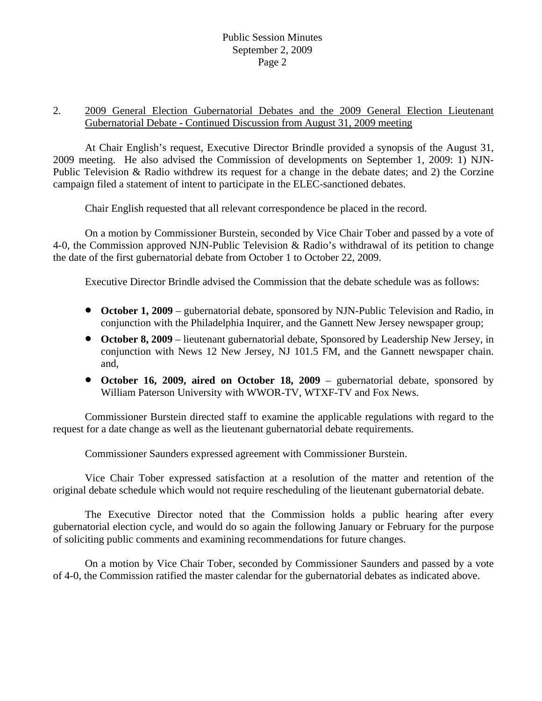### Public Session Minutes September 2, 2009 Page 2

### 2. 2009 General Election Gubernatorial Debates and the 2009 General Election Lieutenant Gubernatorial Debate - Continued Discussion from August 31, 2009 meeting

 At Chair English's request, Executive Director Brindle provided a synopsis of the August 31, 2009 meeting. He also advised the Commission of developments on September 1, 2009: 1) NJN-Public Television & Radio withdrew its request for a change in the debate dates; and 2) the Corzine campaign filed a statement of intent to participate in the ELEC-sanctioned debates.

Chair English requested that all relevant correspondence be placed in the record.

 On a motion by Commissioner Burstein, seconded by Vice Chair Tober and passed by a vote of 4-0, the Commission approved NJN-Public Television & Radio's withdrawal of its petition to change the date of the first gubernatorial debate from October 1 to October 22, 2009.

Executive Director Brindle advised the Commission that the debate schedule was as follows:

- **October 1, 2009** gubernatorial debate, sponsored by NJN-Public Television and Radio, in conjunction with the Philadelphia Inquirer, and the Gannett New Jersey newspaper group;
- **October 8, 2009** lieutenant gubernatorial debate, Sponsored by Leadership New Jersey, in conjunction with News 12 New Jersey, NJ 101.5 FM, and the Gannett newspaper chain. and,
- **October 16, 2009, aired on October 18, 2009** gubernatorial debate, sponsored by William Paterson University with WWOR-TV, WTXF-TV and Fox News.

 Commissioner Burstein directed staff to examine the applicable regulations with regard to the request for a date change as well as the lieutenant gubernatorial debate requirements.

Commissioner Saunders expressed agreement with Commissioner Burstein.

 Vice Chair Tober expressed satisfaction at a resolution of the matter and retention of the original debate schedule which would not require rescheduling of the lieutenant gubernatorial debate.

 The Executive Director noted that the Commission holds a public hearing after every gubernatorial election cycle, and would do so again the following January or February for the purpose of soliciting public comments and examining recommendations for future changes.

 On a motion by Vice Chair Tober, seconded by Commissioner Saunders and passed by a vote of 4-0, the Commission ratified the master calendar for the gubernatorial debates as indicated above.